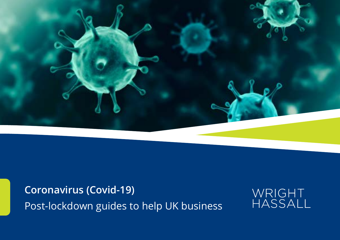

**Coronavirus (Covid-19)** Post-lockdown guides to help UK business

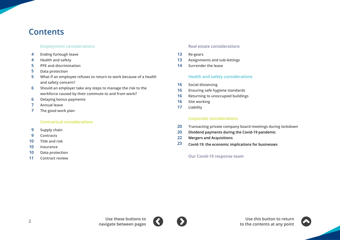# **Contents**

#### **[Employment considerations](#page-2-0)**

- **[Ending furlough leave](#page-3-0) [4](#page-15-0)**
- **[Health and safety](#page-3-0) 4**
- **[PPE and discrimination](#page-4-0) 5**
- **[Data protection](#page-4-0) 5**
- **[What if an employee refuses to return to work because of a health](#page-4-0)  [and safety concern?](#page-4-0) 5**
- **[Should an employer take any steps to manage the risk to the](#page-5-0)  [workforce caused by their commute to and from work?](#page-5-0) 6**
- **[Delaying bonus payments](#page-5-0) 6**
- **[Annual leave](#page-6-0) 7**
- **[The good work plan](#page-6-0) 7**

#### **[Contractual considerations](#page-7-0)**

- **[Supply chain](#page-8-0) 9**
- **[Contracts](#page-8-0) 9**
- **[Title and risk](#page-9-0) 10**
- **[Insurance](#page-9-0) 10**
- **[Data protection](#page-9-0) 10**
- **[Contract review](#page-10-0) 11**

#### **[Real estate considerations](#page-11-0)**

- **[Re-gears](#page-12-0) 13**
- **[Assignments and sub-lettings](#page-12-0) 13**
- **[Surrender the lease](#page-13-0) 14**

#### **[Health and safety considerations](#page-14-0)**

- **[Social distancing](#page-15-0) 16**
- **[Ensuring safe hygiene standards](#page-15-0) 16**
- **[Returning to unoccupied buildings](#page-15-0) 16**
- **[Site working](#page-15-0) 16**
- **[Liability](#page-16-0) 17**

#### **Corporat[e considerations](#page-18-0)**

- **[Transacting private company board meetings during lockdown](#page-19-0) 20**
- **[Dividend payments during the Covid-19 pandemic](#page-19-0) 20**
- **[Mergers and Acquisitions](#page-21-0) 22**
- **[Covid-19: the economic implications for businesses](#page-22-0) 23**

**[Our Covid-19 response team](#page-24-0)**



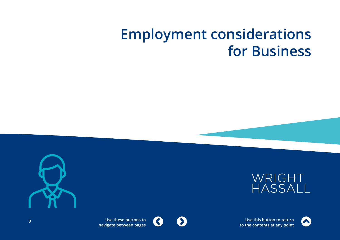# <span id="page-2-0"></span>**Employment considerations for Business**







**Use this button to return Use this button to return to the contents at any point to the contents at any point**



 $\mathbf{C}$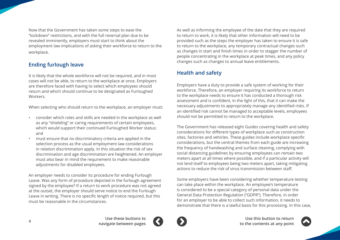<span id="page-3-0"></span>Now that the Government has taken some steps to ease the "lockdown" restrictions, and with the full reversal plan due to be revealed imminently, employers must start to think about the employment law implications of asking their workforce to return to the workplace.

# **Ending furlough leave**

It is likely that the whole workforce will not be required, and in most cases will not be able, to return to the workplace at once. Employers are therefore faced with having to select which employees should return and which should continue to be designated as Furloughed Workers.

When selecting who should return to the workplace, an employer must:

- consider which roles and skills are needed in the workplace as well as any "shielding" or caring requirements of certain employees, which would support their continued Furloughed Worker status; and
- must ensure that no discriminatory criteria are applied in the selection process as the usual employment law considerations in relation discrimination apply. In this situation the risk of sex discrimination and age discrimination are heightened. An employer must also bear in mind the requirement to make reasonable adjustments for disabled employees.

An employer needs to consider its procedure for ending Furlough Leave. Was any form of procedure depicted in the furlough agreement signed by the employee? If a return to work procedure was not agreed at the outset, the employer should serve notice to end the Furlough Leave in writing. There is no specific length of notice required, but this must be reasonable in the circumstances.

As well as informing the employee of the date that they are required to return to work, it is likely that other information will need to be provided such as the steps the employer has taken to ensure it is safe to return to the workplace, any temporary contractual changes such as changes in start and finish times in order to stagger the number of people concentrating in the workplace at peak times, and any policy changes such as changes to annual leave entitlements.

# **Health and safety**

Employers have a duty to provide a safe system of working for their workforce. Therefore, an employer requiring its workforce to return to the workplace needs to ensure it has conducted a thorough risk assessment and is confident, in the light of this, that it can make the necessary adjustments to appropriately manage any identified risks. If an identified risk cannot be managed to acceptable levels, employees should not be permitted to return to the workplace.

The Government has released eight Guides covering health and safety considerations for different types of workplace such as construction sites, factories and vehicles. These guides include workplace specific considerations, but the central themes from each guide are increasing the frequency of handwashing and surface cleaning, complying with social distancing guidelines by ensuring employees can remain two meters apart at all times where possible, and if a particular activity will not lend itself to employees being two meters apart, taking mitigating actions to reduce the risk of virus transmission between staff.

Some employers have been considering whether temperature testing can take place within the workplace. An employee's temperature is considered to be a special category of personal data under the General Data Protection Regulation ("GDPR"). Therefore, in order for an employer to be able to collect such information, it needs to demonstrate that there is a lawful basis for this processing. In this case,



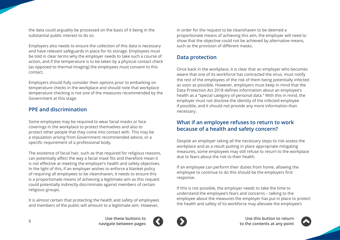<span id="page-4-0"></span>the data could arguably be processed on the basis of it being in the substantial public interest to do so.

Employers also needs to ensure the collection of this data is necessary and have relevant safeguards in place for its storage. Employees must be told in clear terms why the employer needs to take such a course of action, and if the temperature is to be taken by a physical contact check (as opposed to thermal imaging) the employees must consent to this contact.

Employers should fully consider their options prior to embarking on temperature checks in the workplace and should note that workplace temperature checking is not one of the measures recommended by the Government at this stage.

## **PPE and discrimination**

Some employees may be required to wear facial masks or face coverings in the workplace to protect themselves and also to protect other people that they come into contact with. This may be a stipulation arising from Government recommended advice, or a specific requirement of a professional body.

The existence of facial hair, such as that required for religious reasons, can potentially affect the way a facial mask fits and therefore mean it is not effective at meeting the employer's health and safety objectives. In the light of this, if an employer wishes to enforce a blanket policy of requiring all employees to be cleanshaven, it needs to ensure this is a proportionate means of achieving a legitimate aim as this request could potentially indirectly discriminate against members of certain religious groups.

It is almost certain that protecting the health and safety of employees and members of the public will amount to a legitimate aim. However,

in order for the request to be cleanshaven to be deemed a proportionate means of achieving this aim, the employer will need to show that the objective could not be achieved by alternative means, such as the provision of different masks.

# **Data protection**

Once back in the workplace, it is clear that an employer who becomes aware that one of its workforce has contracted the virus, must notify the rest of the employees of the risk of them being potentially infected as soon as possible. However, employers must keep in mind that the Data Protection Act 2018 defines information about an employee's health as a "special category of personal data." With this in mind, the employer must not disclose the identity of the infected employee if possible, and it should not provide any more information than necessary.

## **What if an employee refuses to return to work because of a health and safety concern?**

Despite an employer taking all the necessary steps to risk assess the workplace and as a result putting in place appropriate mitigating measures, some employees may still refuse to return to the workplace due to fears about the risk to their health.

If an employee can perform their duties from home, allowing the employee to continue to do this should be the employers first response.

If this is not possible, the employer needs to take the time to understand the employee's fears and concerns – talking to the employee about the measures the employer has put in place to protect the health and safety of its workforce may alleviate the employee's



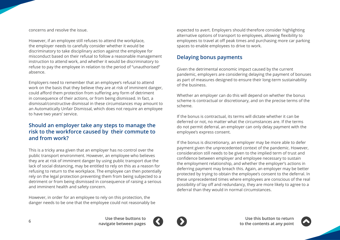<span id="page-5-0"></span>concerns and resolve the issue.

However, if an employee still refuses to attend the workplace, the employer needs to carefully consider whether it would be discriminatory to take disciplinary action against the employee for misconduct based on their refusal to follow a reasonable management instruction to attend work, and whether it would be discriminatory to refuse to pay the employee in relation to the period of "unauthorised" absence.

Employers need to remember that an employee's refusal to attend work on the basis that they believe they are at risk of imminent danger, could afford them protection from suffering any form of detriment in consequence of their actions, or from being dismissed. In fact, a dismissal/constructive dismissal in these circumstances may amount to an Automatically Unfair Dismissal, which does not require an employee to have two years' service.

# **Should an employer take any steps to manage the risk to the workforce caused by their commute to and from work?**

This is a tricky area given that an employer has no control over the public transport environment. However, an employee who believes they are at risk of imminent danger by using public transport due the lack of social distancing, may be entitled to rely on this as a reason for refusing to return to the workplace. The employee can then potentially rely on the legal protection preventing them from being subjected to a detriment or from being dismissed in consequence of raising a serious and imminent health and safety concern.

However, in order for an employee to rely on this protection, the danger needs to be one that the employee could not reasonably be expected to avert. Employers should therefore consider highlighting alternative options of transport to employees, allowing flexibility to employees to travel at off peak times and purchasing more car parking spaces to enable employees to drive to work.

# **Delaying bonus payments**

Given the detrimental economic impact caused by the current pandemic, employers are considering delaying the payment of bonuses as part of measures designed to ensure their long-term sustainability of the business.

Whether an employer can do this will depend on whether the bonus scheme is contractual or discretionary, and on the precise terms of the scheme.

If the bonus is contractual, its terms will dictate whether it can be deferred or not, no matter what the circumstances are. If the terms do not permit deferral, an employer can only delay payment with the employee's express consent.

If the bonus is discretionary, an employer may be more able to defer payment given the unprecedented context of the pandemic. However, consideration still needs to be given to the implied term of trust and confidence between employer and employee necessary to sustain the employment relationship, and whether the employer's actions in deferring payment may breach this. Again, an employer may be better protected by trying to obtain the employee's consent to the deferral. In these unprecedented times where employees are conscious of the real possibility of lay off and redundancy, they are more likely to agree to a deferral than they would in normal circumstances.



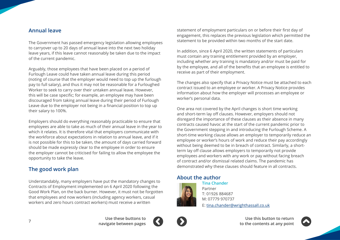## <span id="page-6-0"></span>**Annual leave**

The Government has passed emergency legislation allowing employees to carryover up to 20 days of annual leave into the next two holiday leave years, if this leave cannot reasonably be taken due to the impact of the current pandemic.

Arguably, those employees that have been placed on a period of Furlough Leave could have taken annual leave during this period (noting of course that the employer would need to top up the furlough pay to full salary), and thus it may not be reasonable for a Furloughed Worker to seek to carry over their untaken annual leave. However, this will be case specific; for example, an employee may have been discouraged from taking annual leave during their period of Furlough Leave due to the employer not being in a financial position to top up their salary to 100%.

Employers should do everything reasonably practicable to ensure that employees are able to take as much of their annual leave in the year to which it relates. It is therefore vital that employers communicate with the workforce about expectations in relation to annual leave, and if it is not possible for this to be taken, the amount of days carried forward should be made expressly clear to the employee in order to ensure the employer cannot be criticised for failing to allow the employee the opportunity to take the leave.

# **The good work plan**

Understandably, many employers have put the mandatory changes to Contracts of Employment implemented on 6 April 2020 following the Good Work Plan, on the back burner. However, it must not be forgotten that employees and now workers (including agency workers, casual workers and zero hours contract workers) must receive a written

statement of employment particulars on or before their first day of engagement, this replaces the previous legislation which permitted the statement to be provided within two months of the start date.

In addition, since 6 April 2020, the written statements of particulars must contain any training entitlement provided by an employer, including whether any training is mandatory and/or must be paid for by the employee, and all of the benefits that an employee is entitled to receive as part of their employment.

The changes also specify that a Privacy Notice must be attached to each contract issued to an employee or worker. A Privacy Notice provides information about how the employer will processes an employee or worker's personal data.

One area not covered by the April changes is short time working and short-term lay off clauses. However, employers should not disregard the importance of these clauses as their absence in many contracts caused havoc at the start of the current pandemic prior to the Government stepping in and introducing the Furlough Scheme. A short-time working clause allows an employer to temporarily reduce an employee or worker's hours of work and reduce their pay accordingly without being deemed to be in breach of contract. Similarly, a shortterm lay off clause allows employers to temporarily not provide employees and workers with any work or pay without facing breach of contract and/or dismissal related claims. The pandemic has demonstrated why these clauses should feature in all contracts.

## **About the author**



**Tina Chander** Partner T: 01926 884687 M: 07779 970737 E: tina.chande[r@wrighthassall.co.uk](mailto:tina.chander%40wrighthassall.co.uk?subject=)



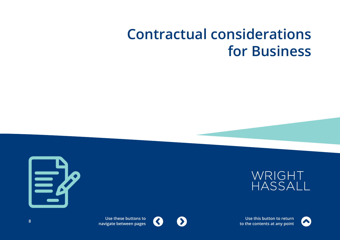# <span id="page-7-0"></span>**Contractual considerations for Business**







**Use this button to return to the contents at any point**



 $\blacktriangleright$ 

 $\blacktriangle$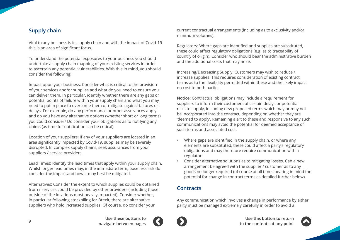# <span id="page-8-0"></span>**Supply chain**

Vital to any business is its supply chain and with the impact of Covid-19 this is an area of significant focus.

To understand the potential exposures to your business you should undertake a supply chain mapping of your existing services in order to ascertain any potential vulnerabilities. With this in mind, you should consider the following:

Impact upon your business: Consider what is critical to the provision of your services and/or supplies and what do you need to ensure you can deliver them. In particular, identify whether there are any gaps or potential points of failure within your supply chain and what you may need to put in place to overcome them or mitigate against failures or delays. For example, do any performance or other assurances apply and do you have any alternative options (whether short or long terms) you could consider? Do consider your obligations as to notifying any claims (as time for notification can be critical).

Location of your suppliers: If any of your suppliers are located in an area significantly impacted by Covid-19, supplies may be severely disrupted. In complex supply chains, seek assurances from your suppliers / service providers.

Lead Times: Identify the lead times that apply within your supply chain. Whilst longer lead times may, in the immediate term, pose less risk do consider the impact and how it may best be mitigated.

Alternatives: Consider the extent to which supplies could be obtained from / services could be provided by other providers (including those outside of the locations most heavily impacted). Consider whether, in particular following stockpiling for Brexit, there are alternative suppliers who hold increased supplies. Of course, do consider your

current contractual arrangements (including as to exclusivity and/or minimum volumes).

Regulatory: Where gaps are identified and supplies are substituted, these could affect regulatory obligations (e.g. as to traceability of country of origin). Consider who should bear the administrative burden and the additional costs that may arise.

Increasing/Decreasing Supply: Customers may wish to reduce / increase supplies. This requires consideration of existing contract terms as to the flexibility permitted within these and the likely impact on cost to both parties.

**Notice:** Contractual obligations may include a requirement for suppliers to inform their customers of certain delays or potential risks to supply, including new proposed terms which may or may not be incorporated into the contract, depending on whether they are 'deemed to apply'. Remaining alert to these and responsive to any such communications may avoid the potential for deemed acceptance of such terms and associated cost.

- Where gaps are identified in the supply chain, or where any elements are substituted, these could affect a party's regulatory obligations and may therefore require communication with a regulator.
- Consider alternative solutions as to mitigating losses. Can a new arrangement be agreed with the supplier / customer as to any goods no longer required (of course at all times bearing in mind the potential for change in contract terms as detailed further below).

# **Contracts**

Any communication which involves a change in performance by either party must be managed extremely carefully in order to avoid a



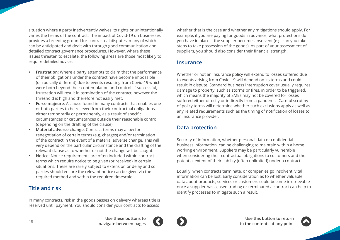<span id="page-9-0"></span>situation where a party inadvertently waives its rights or unintentionally varies the terms of the contract. The impact of Covid-19 on businesses provides a breeding ground for contractual disputes, many of which can be anticipated and dealt with through good communication and detailed contract governance procedures. However, where these issues threaten to escalate, the following areas are those most likely to require detailed advice:

- **• Frustration**: Where a party attempts to claim that the performance of their obligations under the contract have become impossible (or radically different) due to events resulting from Covid-19 which were both beyond their contemplation and control. If successful, frustration will result in termination of the contract, however the threshold is high and therefore not easily met.
- **• Force majeure**: A clause found in many contracts that enables one or both parties to be relieved from their contractual obligations, either temporarily or permanently, as a result of specific circumstances or circumstances outside their reasonable control (depending on the drafting of the clause).
- **• Material adverse change**: Contract terms may allow for renegotiation of certain terms (e.g. charges) and/or termination of the contract in the event of a material adverse change. This will very depend on the particular circumstance and the drafting of the relevant clause as to whether or not the change will be caught.
- **• Notice**: Notice requirements are often included within contract terms which require notice to be given (or received) in certain situations. These are rarely subject to extension or delay and so parties should ensure the relevant notice can be given via the required method and within the required timescale.

# **Title and risk**

In many contracts, risk in the goods passes on delivery whereas title is reserved until payment. You should consider your contracts to assess

whether that is the case and whether any mitigations should apply. For example, if you are paying for goods in advance, what protections do you have in place if the supplier becomes insolvent (e.g. can you take steps to take possession of the goods). As part of your assessment of suppliers, you should also consider their financial strength.

## **Insurance**

Whether or not an insurance policy will extend to losses suffered due to events arising from Covid-19 will depend on its terms and could result in dispute. Standard business interruption cover usually requires damage to property, such as storms or fires, in order to be triggered, which means the majority of SMEs may not be covered for losses suffered either directly or indirectly from a pandemic. Careful scrutiny of policy terms will determine whether such exclusions apply as well as any related requirements such as the timing of notification of losses to an insurance provider.

# **Data protection**

Security of information, whether personal data or confidential business information, can be challenging to maintain within a home working environment. Suppliers may be particularly vulnerable when considering their contractual obligations to customers and the potential extent of their liability (often unlimited) under a contract.

Equally, when contracts terminate, or companies go insolvent, vital information can be lost. Early consideration as to whether valuable data about products, services or customers could become irretrievable once a supplier has ceased trading or terminated a contract can help to identify processes to mitigate such a result.



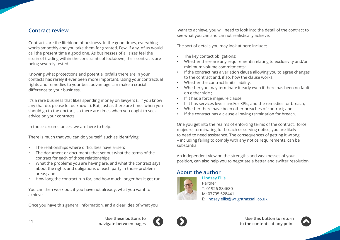## <span id="page-10-0"></span>**Contract review**

Contracts are the lifeblood of business. In the good times, everything works smoothly and you take them for granted. Few, if any, of us would call the present time a good one. As businesses of all sizes feel the strain of trading within the constraints of lockdown, their contracts are being severely tested.

Knowing what protections and potential pitfalls there are in your contacts has rarely if ever been more important. Using your contractual rights and remedies to your best advantage can make a crucial difference to your business.

It's a rare business that likes spending money on lawyers (…if you know any that do, please let us know…). But, just as there are times when you should go to the doctors, so there are times when you ought to seek advice on your contracts.

In those circumstances, we are here to help.

There is much that you can do yourself, such as identifying:

- The relationships where difficulties have arisen;
- The document or documents that set out what the terms of the contract for each of those relationships;
- What the problems you are having are, and what the contract says about the rights and obligations of each party in those problem areas; and
- How long the contract run for, and how much longer has it got run.

You can then work out, if you have not already, what you want to achieve.

Once you have this general information, and a clear idea of what you

 want to achieve, you will need to look into the detail of the contract to see what you can and cannot realistically achieve.

The sort of details you may look at here include:

- The key contact obligations;
- Whether there are any requirements relating to exclusivity and/or minimum volume commitments;
- If the contract has a variation clause allowing you to agree changes to the contract and, if so, how the clause works;
- Whether the contract limits liability;
- Whether you may terminate it early even if there has been no fault on either side ;
- If it has a force majeure clause;
- If it has services levels and/or KPIs, and the remedies for breach;
- Whether there have been other breaches of contract; and
- If the contract has a clause allowing termination for breach.

One you get into the realms of enforcing terms of the contract, force majeure, terminating for breach or serving notice, you are likely to need to need assistance. The consequences of getting it wrong – including failing to comply with any notice requirements, can be substantial.

An independent view on the strengths and weaknesses of your position, can also help you to negotiate a better and swifter resolution.

# **About the author**



**Lindsay Ellis** Partner T: 01926 884680 M: 07795 528441 E: lindsay.elli[s@wrighthassall.co.uk](mailto:lindsay.ellis%40wrighthassall.co.uk?subject=)



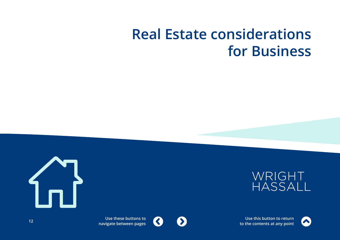# <span id="page-11-0"></span>**Real Estate considerations for Business**







**Use this button to return to the contents at any point**



 $\blacktriangleright$ 

 $\blacktriangle$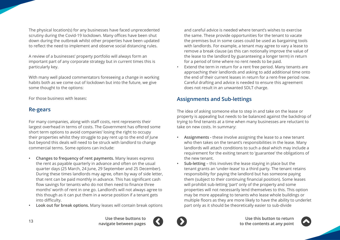<span id="page-12-0"></span>The physical location(s) for any businesses have faced unprecedented scrutiny during the Covid-19 lockdown. Many offices have been shut down during the outbreak whilst other properties have been updated to reflect the need to implement and observe social distancing rules.

A review of a businesses' property portfolio will always form an important part of any corporate strategy but in current times this is particularly key.

With many well placed commentators foreseeing a change in working habits both as we come out of lockdown but into the future, we give some thought to the options:

For those business with leases:

# **Re-gears**

For many companies, along with staff costs, rent represents their largest overhead in terms of costs. The Government has offered some short term options to avoid companies' losing the right to occupy their properties whilst they struggle to pay rent up to the end of June but beyond this deals will need to be struck with landlord to change commercial terms. Some options can include:

- **• Changes to frequency of rent payments.** Many leases express the rent as payable quarterly in advance and often on the usual quarter days (25 March, 24 June, 29 September and 25 December). During these times landlords may agree, often by way of side letter, that rent can be paid monthly in advance. This has significant cash flow savings for tenants who do not then need to finance three months' worth of rent in one go. Landlord's will not always agree to this though as it can put them in a worse position if a tenant gets into difficulty.
- **• Look out for break options.** Many leases will contain break options

and careful advice is needed where tenant's wishes to exercise the same. These provide opportunities for the tenant to vacate the premises but in some cases could be used as bargaining tools with landlords. For example, a tenant may agree to vary a lease to remove a break clause (as this can notionally improve the value of the lease to the landlord by guaranteeing a longer term) in return for a period of time where no rent needs to be paid.

Extend the term in return for a rent free period. Many tenants are approaching their landlords and asking to add additional time onto the end of their current leases in return for a rent-free period now. Careful drafting and advice is needed to ensure this agreement does not result in an unwanted SDLT charge.

# **Assignments and Sub-lettings**

The idea of asking someone else to step in and take on the lease or property is appealing but needs to be balanced against the backdrop of trying to find tenants at a time when many businesses are reluctant to take on new costs. In summary:

- **• Assignments -** these involve assigning the lease to a new tenant who then takes on the tenant's responsibilities in the lease. Many landlords will attach conditions to such a deal which may include a requirement for the exiting tenant to 'guarantee' the obligations of the new tenant.
- **• Sub-letting** this involves the lease staying in place but the tenant grants an 'under-lease' to a third party. The tenant retains responsibility for paying the landlord but has someone paying them (subject to their continuing financial position). Some leases will prohibit sub-letting 'part' only of the property and some properties will not necessarily lend themselves to this. This option may be more appealing to tenants who lease whole buildings or multiple floors as they are more likely to have the ability to underlet part only as it should be theoretically easier to sub-divide



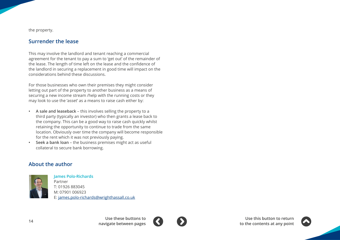<span id="page-13-0"></span>the property.

# **Surrender the lease**

This may involve the landlord and tenant reaching a commercial agreement for the tenant to pay a sum to 'get out' of the remainder of the lease. The length of time left on the lease and the confidence of the landlord in securing a replacement in good time will impact on the considerations behind these discussions.

For those businesses who own their premises they might consider letting out part of the property to another business as a means of securing a new income stream /help with the running costs or they may look to use the 'asset' as a means to raise cash either by:

- **• A sale and leaseback** this involves selling the property to a third party (typically an investor) who then grants a lease back to the company. This can be a good way to raise cash quickly whilst retaining the opportunity to continue to trade from the same location. Obviously over time the company will become responsible for the rent which it was not previously paying.
- **• Seek a bank loan**  the business premises might act as useful collateral to secure bank borrowing.

# **About the author**



**James Polo-Richards** Partner T: 01926 883045 M: 07901 006923 E: james.polo-richards[@wrighthassall.co.uk](mailto:james.polo-richards%40wrighthassall.co.uk?subject=)





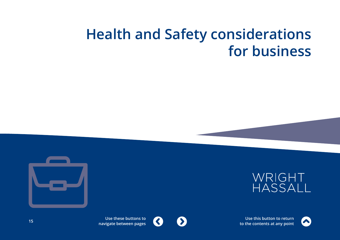# <span id="page-14-0"></span>**Health and Safety considerations for business**







**Use this button to return to the contents at any point**



**Use these buttons to**  $\blacktriangle$ **navigate between pages <sup>15</sup>**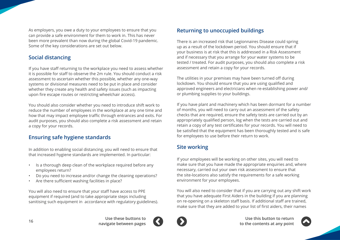<span id="page-15-0"></span>As employers, you owe a duty to your employees to ensure that you can provide a safe environment for them to work in. This has never been more prevalent than now during the global Covid-19 pandemic. Some of the key considerations are set out below.

# **Social distancing**

If you have staff returning to the workplace you need to assess whether it is possible for staff to observe the 2m rule. You should conduct a risk assessment to ascertain whether this possible, whether any one-way systems or divisional measures need to be put in place and consider whether they create any health and safety issues (such as impacting upon fire escape routes or restricting wheelchair access).

You should also consider whether you need to introduce shift work to reduce the number of employees in the workplace at any one time and how that may impact employee traffic through entrances and exits. For audit purposes, you should also complete a risk assessment and retain a copy for your records.

# **Ensuring safe hygiene standards**

In addition to enabling social distancing, you will need to ensure that that increased hygiene standards are implemented. In particular:

- Is a thorough deep clean of the workplace required before any employees return?
- Do you need to increase and/or change the cleaning operations?
- Are there sufficient washing facilities in place?

You will also need to ensure that your staff have access to PPE equipment if required (and to take appropriate steps including sanitising such equipment in accordance with regulatory guidelines).

# **Returning to unoccupied buildings**

There is an increased risk that Legionnaires Disease could spring up as a result of the lockdown period. You should ensure that if your business is at risk that this is addressed in a Risk Assessment and if necessary that you arrange for your water systems to be tested / treated. For audit purposes, you should also complete a risk assessment and retain a copy for your records.

The utilities in your premises may have been turned off during lockdown. You should ensure that you are using qualified and approved engineers and electricians when re-establishing power and/ or plumbing supplies to your buildings.

If you have plant and machinery which has been dormant for a number of months, you will need to carry out an assessment of the safety checks that are required, ensure the safety tests are carried out by an appropriately qualified person, log when the tests are carried out and retain a copy of any test certificates for your records. You will need to be satisfied that the equipment has been thoroughly tested and is safe for employees to use before their return to work.

# **Site working**

If your employees will be working on other sites, you will need to make sure that you have made the appropriate enquiries and, where necessary, carried out your own risk assessment to ensure that the site-locations also satisfy the requirements for a safe working environment for your employees.

You will also need to consider that if you are carrying out any shift work that you have adequate First Aiders in the building if you are planning on re-opening on a skeleton staff basis. If additional staff are trained, make sure that they are added to your list of first aiders, their names



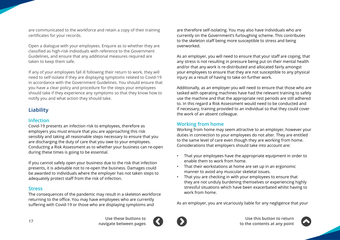<span id="page-16-0"></span>are communicated to the workforce and retain a copy of their training certificates for your records.

Open a dialogue with your employees. Enquire as to whether they are classified as high-risk individuals with reference to the Government Guidelines, and ensure that any additional measures required are taken to keep them safe.

If any of your employees fall ill following their return to work, they will need to self-isolate if they are displaying symptoms related to Covid-19 in accordance with the Government Guidelines. You should ensure that you have a clear policy and procedure for the steps your employees should take if they experience any symptoms so that they know how to notify you and what action they should take.

# **Liability**

### **Infection**

Covid-19 presents an infection risk to employees, therefore as employers you must ensure that you are approaching this risk sensibly and taking all reasonable steps necessary to ensure that you are discharging the duty of care that you owe to your employees. Conducting a Risk Assessment as to whether your business can re-open during these times is going to be essential.

If you cannot safely open your business due to the risk that infection presents, it is advisable not to re-open the business. Damages could be awarded to individuals where the employer has not taken steps to adequately protect staff from the risk of infection.

### **Stress**

The consequences of the pandemic may result in a skeleton workforce returning to the office. You may have employees who are currently suffering with Covid-19 or those who are displaying symptoms and

are therefore self-isolating. You may also have individuals who are currently on the Government's furloughing scheme. This contributes to the skeleton staff being more susceptible to stress and being overworked.

As an employer, you will need to ensure that your staff are coping, that any stress is not resulting in pressure being put on their mental health and/or that any work is re-distributed and allocated fairly amongst your employees to ensure that they are not susceptible to any physical injury as a result of having to take on further work.

Additionally, as an employer you will need to ensure that those who are tasked with operating machines have had the relevant training to safely use the machine and that the appropriate rest periods are still adhered to. In this regard a Risk Assessment would need to be conducted and if necessary, training provided to an individual so that they could cover the work of an absent colleague.

## **Working from home**

Working from home may seem attractive to an employer, however your duties in connection to your employees do not alter. They are entitled to the same level of care even though they are working from home. Considerations that employers should take into account are:

- That your employees have the appropriate equipment in order to enable them to work from home.
- That their workstations at home are set up in an ergonomic manner to avoid any muscular skeletal issues.
- That you are checking in with your employees to ensure that they are not unduly burdening themselves or experiencing highly stressful situations which have been exacerbated whilst having to work from home.

As an employer, you are vicariously liable for any negligence that your



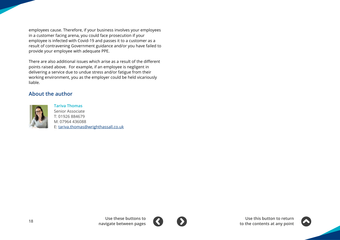employees cause. Therefore, if your business involves your employees in a customer facing arena, you could face prosecution if your employee is infected with Covid-19 and passes it to a customer as a result of contravening Government guidance and/or you have failed to provide your employee with adequate PPE.

There are also additional issues which arise as a result of the different points raised above. For example, if an employee is negligent in delivering a service due to undue stress and/or fatigue from their working environment, you as the employer could be held vicariously liable.

## **About the author**



**Tariva Thomas** Senior Associate T: 01926 884679 M: 07964 436088 E: tariva.thomas[@wrighthassall.co.uk](mailto:tariva.thomas%40wrighthassall.co.uk?subject=)



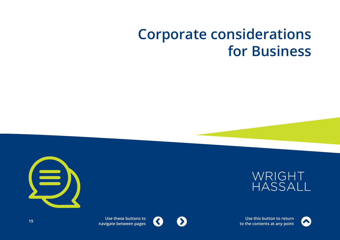# <span id="page-18-0"></span>**Corporate considerations for Business**







**Use this button to return to the contents at any point**



**Use these buttons to**  $\blacktriangle$ **navigate between pages <sup>19</sup>**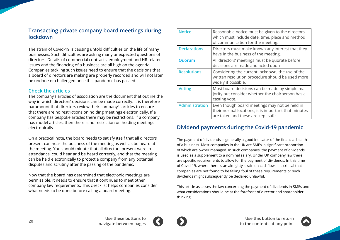## <span id="page-19-0"></span>**Transacting private company board meetings during lockdown**

The strain of Covid-19 is causing untold difficulties on the life of many businesses. Such difficulties are asking many unexpected questions of directors. Details of commercial contracts, employment and HR related issues and the financing of a business are all high on the agenda. Companies tackling such issues need to ensure that the decisions that a board of directors are making are properly recorded and will not later be undone or challenged once this pandemic has passed.

### **Check the articles**

The company's articles of association are the document that outline the way in which directors' decisions can be made correctly. It is therefore paramount that directors review their company's articles to ensure that there are no restrictions on holding meetings electronically. If a company has bespoke articles there may be restrictions. If a company has model articles, then there is no restriction on holding meetings electronically.

On a practical note, the board needs to satisfy itself that all directors present can hear the business of the meeting as well as be heard at the meeting. You should minute that all directors present were in attendance, could hear and be heard correctly, and that the meeting can be held electronically to protect a company from any potential disputes and scrutiny after the passing of the pandemic.

Now that the board has determined that electronic meetings are permissible, it needs to ensure that it continues to meet other company law requirements. This checklist helps companies consider what needs to be done before calling a board meeting.

| <b>Notice</b>         | Reasonable notice must be given to the directors<br>which must include date, time, place and method<br>of communication for the meeting.    |
|-----------------------|---------------------------------------------------------------------------------------------------------------------------------------------|
| <b>Declarations</b>   | Directors must make known any interest that they<br>have in the business of the meeting.                                                    |
| <b>Quorum</b>         | All directors' meetings must be quorate before<br>decisions are made and acted upon                                                         |
| <b>Resolutions</b>    | Considering the current lockdown, the use of the<br>written resolution procedure should be used more<br>widely if possible.                 |
| <b>Voting</b>         | Most board decisions can be made by simple ma-<br>jority but consider whether the chairperson has a<br>casting vote.                        |
| <b>Administration</b> | Even though board meetings may not be held in<br>their normal locations, it is important that minutes<br>are taken and these are kept safe. |

# **Dividend payments during the Covid-19 pandemic**

The payment of dividends is generally a good indicator of the financial health of a business. Most companies in the UK are SMEs, a significant proportion of which are owner managed. In such companies, the payment of dividends is used as a supplement to a nominal salary. Under UK company law there are specific requirements to allow for the payment of dividends. In this time of Covid-19, where there is an almighty strain on cashflow, it is critical that companies are not found to be falling foul of these requirements or such dividends might subsequently be declared unlawful.

This article assesses the law concerning the payment of dividends in SMEs and what considerations should be at the forefront of director and shareholder thinking.



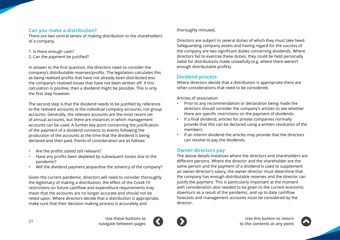## **Can you make a distribution?**

There are two central tenets of making distribution to the shareholders of a company.

- 1. Is there enough cash?
- 2. Can the payment be justified?

In answer to the first question, the directors need to consider the company's distributable reserves/profits. The legislation calculates this as being realised profits that have not already been distributed less the company's realised losses that have not been written off. If this calculation is positive, then a dividend might be possible. This is only the first step however.

The second step is that the dividend needs to be justified by reference to the relevant accounts ie the individual company accounts, not group accounts. Generally, the relevant accounts are the most recent set of annual accounts, but there are instances in which management accounts can be used. A further key point concerning the justification of the payment of a dividend connects to events following the production of the accounts at the time that the dividend is being declared and then paid. Points of consideration are as follows:

- Are the profits stated still relevant?
- Have any profits been depleted by subsequent losses due to the pandemic?
- Will the dividend payment jeopardise the solvency of the company?

Given the current pandemic, directors will need to consider thoroughly the legitimacy of making a distribution, the effect of the Covid-19 restrictions on future cashflow and expenditure requirements may mean that the accounts are no longer accurate and should not be relied upon. Where directors decide that a distribution is appropriate, make sure that their decision making process is accurately and

thoroughly minuted.

Directors are subject to several duties of which they must take heed. Safeguarding company assets and having regard for the success of the company are two significant duties concerning dividends. Where directors fail to exercise these duties, they could be held personally liable for distributions made unlawfully (e.g. where there weren't enough distributable profits).

## **Dividend process**

Where directors decide that a distribution is appropriate there are other considerations that need to be considered.

Articles of association:

- Prior to any recommendation or declaration being made the directors should consider the company's articles to see whether there are specific restrictions on the payment of dividends.
- If a final dividend, articles for private companies normally provide that this can be declared using a written resolution of the members.
- If an interim dividend the articles may provide that the directors can resolve to pay the dividends.

## **Owner-directors pay**

The above details instances where the directors and shareholders are different persons. Where the director and the shareholder are the same person and the payment of a dividend is used to supplement an owner-director's salary, the owner-director must determine that the company has enough distributable reserves and the director can justify the payment. This is particularly important at the moment with consideration also needed to be given to the current economic downturn as a result of the pandemic, and up to date cashflow forecasts and management accounts must be considered by the director.



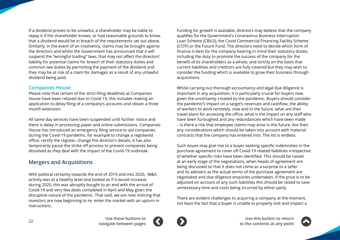<span id="page-21-0"></span>If a dividend proves to be unlawful, a shareholder may be liable to repay it if the shareholder knows, or had reasonable grounds to know, that a dividend would be in breach of the requirements set out above. Similarly, in the event of an insolvency, claims may be brought against the directors and whilst the Government has announced that it will suspend the "wrongful trading" laws, that may not affect the directors' liability for potential claims for breach of their statutory duties and common law duties by permitting the payment of the dividend and they may be at risk of a claim for damages as a result of any unlawful dividend being paid.

## **Companies House**

Please note that certain of the strict filing deadlines at Companies House have been relaxed due to Covid-19, this includes making an application to delay filing of a company's accounts and obtain a three month extension

All same day services have been suspended until further notice and there is delay in processing paper and online submissions. Companies House has introduced an emergency filing service to aid companies during the Covid-19 pandemic, for example to change a registered office, rectify the register, change the director's details, it has also temporarily pause the strike off process to prevent companies being dissolved as they deal with the impact of the Covid-19 outbreak.

# **Mergers and Acquisitions**

With political certainty towards the end of 2019 and into 2020, M&A activity was at a healthy level and looked as if it would increase during 2020, this was abruptly bought to an end with the arrival of Covid-19 and very few deals completed in April and May given the disruptive nature of the pandemic. That said, we are now noticing that investors are now beginning to re- enter the market with an upturn in instructions.

Funding for growth is available, directors may believe that the company qualifies for the Government's Coronavirus Business Interruption Loan Scheme (CBILS), the Covid Commercial Financing Facility Scheme (CCFF) or the Future Fund. The directors need to decide which form of finance is best for the company bearing in mind their statutory duties, including the duty to promote the success of the company for the benefit of its shareholders as a whole, and strictly on the basis that current liabilities and creditors are fully covered but they may wish to consider the funding which is available to grow their business through acquisitions.

Whilst carrying out thorough accountancy and legal due diligence is important in any acquisition, it is particularly crucial for buyers now given the uncertainty created by the pandemic. Buyers should consider the pandemic's impact on a target's revenues and cashflow, the ability of workers to work remotely, now and in the future, what are their travel plans for accessing the office, what is the impact on any staff who have been furloughed and any redundancies which have been made – is there a risk that employee claims may arise in the future. Are their any considerations which should be taken into account with material contracts that the company has entered into. The list is endless.

Such issues may give rise to a buyer seeking specific indemnities in the purchase agreement to cover off Covid-19 related liabilities irrespective of whether specific risks have been identified. This should be raised at an early stage of the negotiations, when heads of agreement are being discussed so that it does not come as a surprise to a seller and its advisers as the actual terms of the purchase agreement are negotiated and due diligence enquiries undertaken. If the price is to be adjusted on account of any such liabilities this should be raised to save unnecessary time and costs being incurred by either party.

There are evident challenges to acquiring a company at the moment, not least the fact that a buyer is unable to properly visit and inspect a



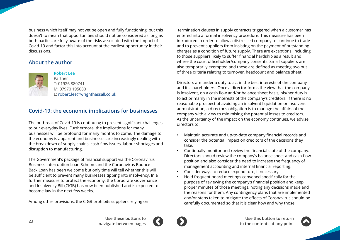<span id="page-22-0"></span>business which itself may not yet be open and fully functioning, but this doesn't to mean that opportunities should not be considered as long as both parties are fully aware of the risks associated with the impact of Covid-19 and factor this into account at the earliest opportunity in their discussions.

# **About the author**



### **Robert Lee**

Partner T: 01926 880741 M: 07970 195080 E: robert.lee[@wrighthassall.co.uk](mailto:robert.lee%40wrighthassall.co.uk?subject=)

# **Covid-19: the economic implications for businesses**

The outbreak of Covid-19 is continuing to present significant challenges to our everyday lives. Furthermore, the implications for many businesses will be profound for many months to come. The damage to the economy is apparent and businesses are increasingly dealing with the breakdown of supply chains, cash flow issues, labour shortages and disruption to manufacturing.

The Government's package of financial support via the Coronavirus Business Interruption Loan Scheme and the Coronavirus Bounce Back Loan has been welcome but only time will tell whether this will be sufficient to prevent many businesses tipping into insolvency. In a further measure to protect the economy, the Corporate Governance and Insolvency Bill (CIGB) has now been published and is expected to become law in the next few weeks.

Among other provisions, the CIGB prohibits suppliers relying on

 termination clauses in supply contracts triggered when a customer has entered into a formal insolvency procedure. This measure has been introduced in order to allow a distressed company to continue to trade and to prevent suppliers from insisting on the payment of outstanding charges as a condition of future supply. There are exceptions, including to those suppliers likely to suffer financial hardship as a result and where the court officeholder/company consents. Small suppliers are also temporarily exempted and these are defined as meeting two out of three criteria relating to turnover, headcount and balance sheet.

Directors are under a duty to act in the best interests of the company and its shareholders. Once a director forms the view that the company is insolvent, on a cash flow and/or balance sheet basis, his/her duty is to act primarily in the interests of the company's creditors. If there is no reasonable prospect of avoiding an insolvent liquidation or insolvent administration, a director's obligation is to manage the affairs of the company with a view to minimising the potential losses to creditors. As the uncertainty of the impact on the economy continues, we advise directors to:

- Maintain accurate and up-to-date company financial records and consider the potential impact on creditors of the decisions they take.
- Continually monitor and review the financial state of the company. Directors should review the company's balance sheet and cash flow position and also consider the need to increase the frequency of management accounting and internal financial reporting.
- Consider ways to reduce expenditure, if necessary.
- Hold frequent board meetings convened specifically for the purpose of reviewing the company's financial position and keep proper minutes of those meetings, noting any decisions made and the reasons for them. Any contingency plans that are implemented and/or steps taken to mitigate the effects of Coronavirus should be carefully documented so that it is clear how and why those



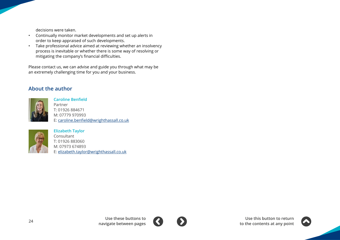decisions were taken.

- Continually monitor market developments and set up alerts in order to keep appraised of such developments.
- Take professional advice aimed at reviewing whether an insolvency process is inevitable or whether there is some way of resolving or mitigating the company's financial difficulties.

Please contact us, we can advise and guide you through what may be an extremely challenging time for you and your business.

# **About the author**



**Caroline Benfield** Partner T: 01926 884671 M: 07779 970993 E: caroline.benfield[@wrighthassall.co.uk](mailto:caroline.benfield%40wrighthassall.co.uk?subject=)



**Elizabeth Taylor** Consultant T: 01926 883060 M: 07973 674893 E: elizabeth.taylo[r@wrighthassall.co.uk](mailto:elizabeth.taylor%40wrighthassall.co.uk?subject=)